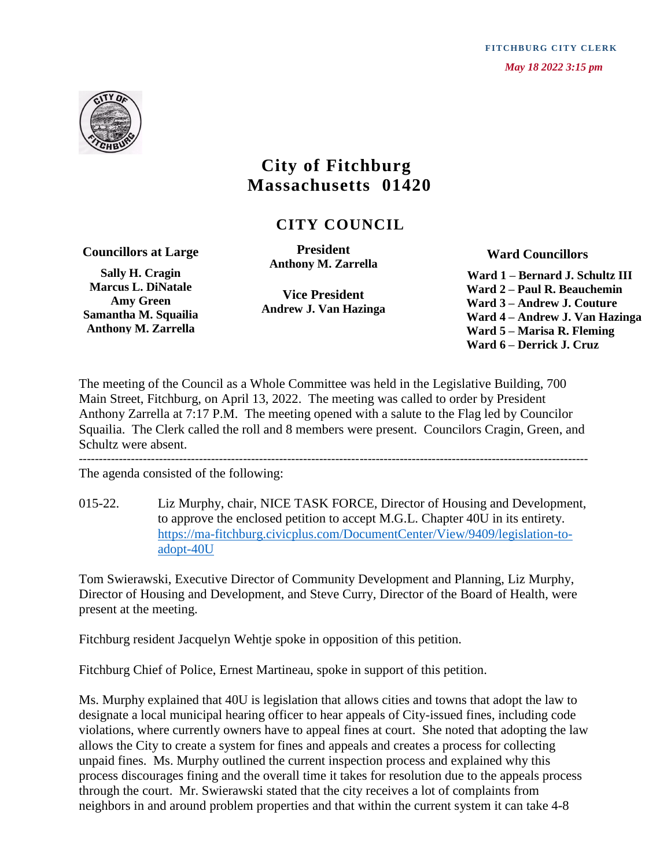**FITCHBURG CITY CLERK**  *May 18 2022 3:15 pm*



## **City of Fitchburg Massachusetts 01420**

 **CITY COUNCIL**

**Councillors at Large**

**Sally H. Cragin Marcus L. DiNatale Amy Green Samantha M. Squailia Anthony M. Zarrella**

**President Anthony M. Zarrella**

**Vice President Andrew J. Van Hazinga**  **Ward Councillors**

 **Ward 1 – Bernard J. Schultz III Ward 2 – Paul R. Beauchemin Ward 3 – Andrew J. Couture Ward 4 – Andrew J. Van Hazinga Ward 5 – Marisa R. Fleming Ward 6 – Derrick J. Cruz**

The meeting of the Council as a Whole Committee was held in the Legislative Building, 700 Main Street, Fitchburg, on April 13, 2022. The meeting was called to order by President Anthony Zarrella at 7:17 P.M. The meeting opened with a salute to the Flag led by Councilor Squailia. The Clerk called the roll and 8 members were present. Councilors Cragin, Green, and Schultz were absent. -------------------------------------------------------------------------------------------------------------------------------

The agenda consisted of the following:

015-22. Liz Murphy, chair, NICE TASK FORCE, Director of Housing and Development, to approve the enclosed petition to accept M.G.L. Chapter 40U in its entirety. [https://ma-fitchburg.civicplus.com/DocumentCenter/View/9409/legislation-to](https://ma-fitchburg.civicplus.com/DocumentCenter/View/9409/legislation-to-adopt-40U)[adopt-40U](https://ma-fitchburg.civicplus.com/DocumentCenter/View/9409/legislation-to-adopt-40U)

Tom Swierawski, Executive Director of Community Development and Planning, Liz Murphy, Director of Housing and Development, and Steve Curry, Director of the Board of Health, were present at the meeting.

Fitchburg resident Jacquelyn Wehtje spoke in opposition of this petition.

Fitchburg Chief of Police, Ernest Martineau, spoke in support of this petition.

Ms. Murphy explained that 40U is legislation that allows cities and towns that adopt the law to designate a local municipal hearing officer to hear appeals of City-issued fines, including code violations, where currently owners have to appeal fines at court. She noted that adopting the law allows the City to create a system for fines and appeals and creates a process for collecting unpaid fines. Ms. Murphy outlined the current inspection process and explained why this process discourages fining and the overall time it takes for resolution due to the appeals process through the court. Mr. Swierawski stated that the city receives a lot of complaints from neighbors in and around problem properties and that within the current system it can take 4-8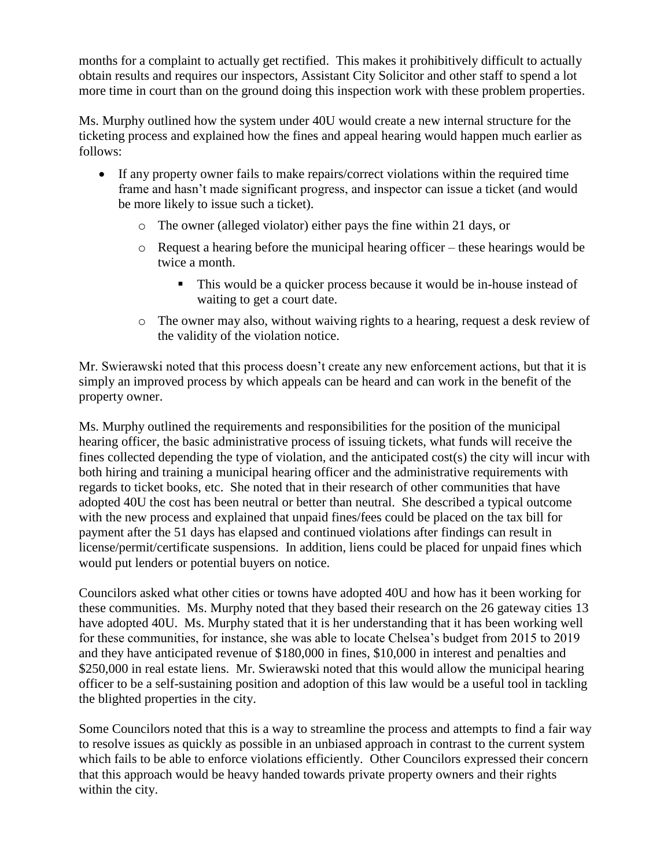months for a complaint to actually get rectified. This makes it prohibitively difficult to actually obtain results and requires our inspectors, Assistant City Solicitor and other staff to spend a lot more time in court than on the ground doing this inspection work with these problem properties.

Ms. Murphy outlined how the system under 40U would create a new internal structure for the ticketing process and explained how the fines and appeal hearing would happen much earlier as follows:

- If any property owner fails to make repairs/correct violations within the required time frame and hasn't made significant progress, and inspector can issue a ticket (and would be more likely to issue such a ticket).
	- o The owner (alleged violator) either pays the fine within 21 days, or
	- o Request a hearing before the municipal hearing officer these hearings would be twice a month.
		- This would be a quicker process because it would be in-house instead of waiting to get a court date.
	- o The owner may also, without waiving rights to a hearing, request a desk review of the validity of the violation notice.

Mr. Swierawski noted that this process doesn't create any new enforcement actions, but that it is simply an improved process by which appeals can be heard and can work in the benefit of the property owner.

Ms. Murphy outlined the requirements and responsibilities for the position of the municipal hearing officer, the basic administrative process of issuing tickets, what funds will receive the fines collected depending the type of violation, and the anticipated cost(s) the city will incur with both hiring and training a municipal hearing officer and the administrative requirements with regards to ticket books, etc. She noted that in their research of other communities that have adopted 40U the cost has been neutral or better than neutral. She described a typical outcome with the new process and explained that unpaid fines/fees could be placed on the tax bill for payment after the 51 days has elapsed and continued violations after findings can result in license/permit/certificate suspensions. In addition, liens could be placed for unpaid fines which would put lenders or potential buyers on notice.

Councilors asked what other cities or towns have adopted 40U and how has it been working for these communities. Ms. Murphy noted that they based their research on the 26 gateway cities 13 have adopted 40U. Ms. Murphy stated that it is her understanding that it has been working well for these communities, for instance, she was able to locate Chelsea's budget from 2015 to 2019 and they have anticipated revenue of \$180,000 in fines, \$10,000 in interest and penalties and \$250,000 in real estate liens. Mr. Swierawski noted that this would allow the municipal hearing officer to be a self-sustaining position and adoption of this law would be a useful tool in tackling the blighted properties in the city.

Some Councilors noted that this is a way to streamline the process and attempts to find a fair way to resolve issues as quickly as possible in an unbiased approach in contrast to the current system which fails to be able to enforce violations efficiently. Other Councilors expressed their concern that this approach would be heavy handed towards private property owners and their rights within the city.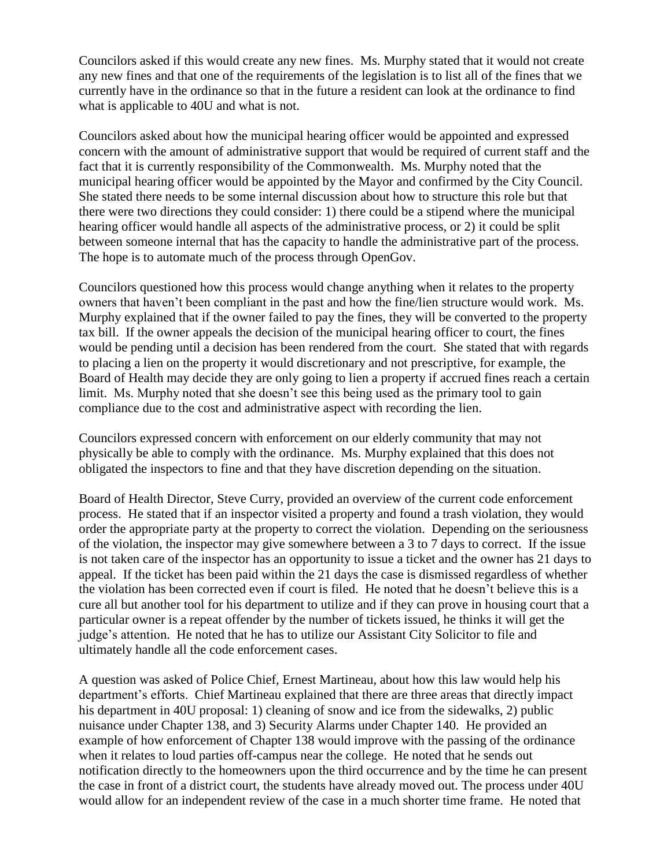Councilors asked if this would create any new fines. Ms. Murphy stated that it would not create any new fines and that one of the requirements of the legislation is to list all of the fines that we currently have in the ordinance so that in the future a resident can look at the ordinance to find what is applicable to 40U and what is not.

Councilors asked about how the municipal hearing officer would be appointed and expressed concern with the amount of administrative support that would be required of current staff and the fact that it is currently responsibility of the Commonwealth. Ms. Murphy noted that the municipal hearing officer would be appointed by the Mayor and confirmed by the City Council. She stated there needs to be some internal discussion about how to structure this role but that there were two directions they could consider: 1) there could be a stipend where the municipal hearing officer would handle all aspects of the administrative process, or 2) it could be split between someone internal that has the capacity to handle the administrative part of the process. The hope is to automate much of the process through OpenGov.

Councilors questioned how this process would change anything when it relates to the property owners that haven't been compliant in the past and how the fine/lien structure would work. Ms. Murphy explained that if the owner failed to pay the fines, they will be converted to the property tax bill. If the owner appeals the decision of the municipal hearing officer to court, the fines would be pending until a decision has been rendered from the court. She stated that with regards to placing a lien on the property it would discretionary and not prescriptive, for example, the Board of Health may decide they are only going to lien a property if accrued fines reach a certain limit. Ms. Murphy noted that she doesn't see this being used as the primary tool to gain compliance due to the cost and administrative aspect with recording the lien.

Councilors expressed concern with enforcement on our elderly community that may not physically be able to comply with the ordinance. Ms. Murphy explained that this does not obligated the inspectors to fine and that they have discretion depending on the situation.

Board of Health Director, Steve Curry, provided an overview of the current code enforcement process. He stated that if an inspector visited a property and found a trash violation, they would order the appropriate party at the property to correct the violation. Depending on the seriousness of the violation, the inspector may give somewhere between a 3 to 7 days to correct. If the issue is not taken care of the inspector has an opportunity to issue a ticket and the owner has 21 days to appeal. If the ticket has been paid within the 21 days the case is dismissed regardless of whether the violation has been corrected even if court is filed. He noted that he doesn't believe this is a cure all but another tool for his department to utilize and if they can prove in housing court that a particular owner is a repeat offender by the number of tickets issued, he thinks it will get the judge's attention. He noted that he has to utilize our Assistant City Solicitor to file and ultimately handle all the code enforcement cases.

A question was asked of Police Chief, Ernest Martineau, about how this law would help his department's efforts. Chief Martineau explained that there are three areas that directly impact his department in 40U proposal: 1) cleaning of snow and ice from the sidewalks, 2) public nuisance under Chapter 138, and 3) Security Alarms under Chapter 140. He provided an example of how enforcement of Chapter 138 would improve with the passing of the ordinance when it relates to loud parties off-campus near the college. He noted that he sends out notification directly to the homeowners upon the third occurrence and by the time he can present the case in front of a district court, the students have already moved out. The process under 40U would allow for an independent review of the case in a much shorter time frame. He noted that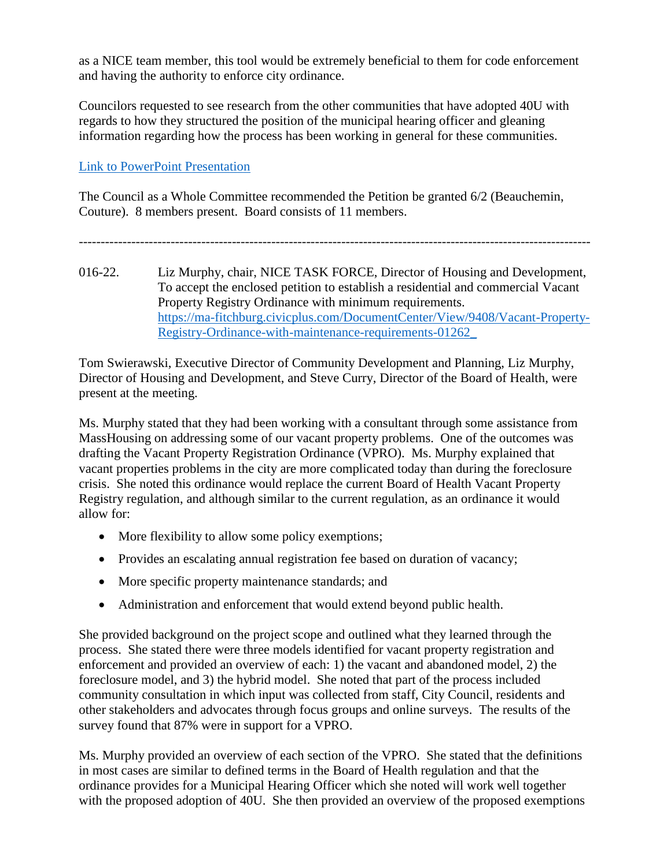as a NICE team member, this tool would be extremely beneficial to them for code enforcement and having the authority to enforce city ordinance.

Councilors requested to see research from the other communities that have adopted 40U with regards to how they structured the position of the municipal hearing officer and gleaning information regarding how the process has been working in general for these communities.

## [Link to PowerPoint Presentation](https://www.fitchburgma.gov/DocumentCenter/View/9836/40U-powerpoint_council-meeting)

The Council as a Whole Committee recommended the Petition be granted 6/2 (Beauchemin, Couture). 8 members present. Board consists of 11 members.

---------------------------------------------------------------------------------------------------------------------

016-22. Liz Murphy, chair, NICE TASK FORCE, Director of Housing and Development, To accept the enclosed petition to establish a residential and commercial Vacant Property Registry Ordinance with minimum requirements. [https://ma-fitchburg.civicplus.com/DocumentCenter/View/9408/Vacant-Property-](https://ma-fitchburg.civicplus.com/DocumentCenter/View/9408/Vacant-Property-Registry-Ordinance-with-maintenance-requirements-01262_)[Registry-Ordinance-with-maintenance-requirements-01262\\_](https://ma-fitchburg.civicplus.com/DocumentCenter/View/9408/Vacant-Property-Registry-Ordinance-with-maintenance-requirements-01262_)

Tom Swierawski, Executive Director of Community Development and Planning, Liz Murphy, Director of Housing and Development, and Steve Curry, Director of the Board of Health, were present at the meeting.

Ms. Murphy stated that they had been working with a consultant through some assistance from MassHousing on addressing some of our vacant property problems. One of the outcomes was drafting the Vacant Property Registration Ordinance (VPRO). Ms. Murphy explained that vacant properties problems in the city are more complicated today than during the foreclosure crisis. She noted this ordinance would replace the current Board of Health Vacant Property Registry regulation, and although similar to the current regulation, as an ordinance it would allow for:

- More flexibility to allow some policy exemptions;
- Provides an escalating annual registration fee based on duration of vacancy;
- More specific property maintenance standards; and
- Administration and enforcement that would extend beyond public health.

She provided background on the project scope and outlined what they learned through the process. She stated there were three models identified for vacant property registration and enforcement and provided an overview of each: 1) the vacant and abandoned model, 2) the foreclosure model, and 3) the hybrid model. She noted that part of the process included community consultation in which input was collected from staff, City Council, residents and other stakeholders and advocates through focus groups and online surveys. The results of the survey found that 87% were in support for a VPRO.

Ms. Murphy provided an overview of each section of the VPRO. She stated that the definitions in most cases are similar to defined terms in the Board of Health regulation and that the ordinance provides for a Municipal Hearing Officer which she noted will work well together with the proposed adoption of 40U. She then provided an overview of the proposed exemptions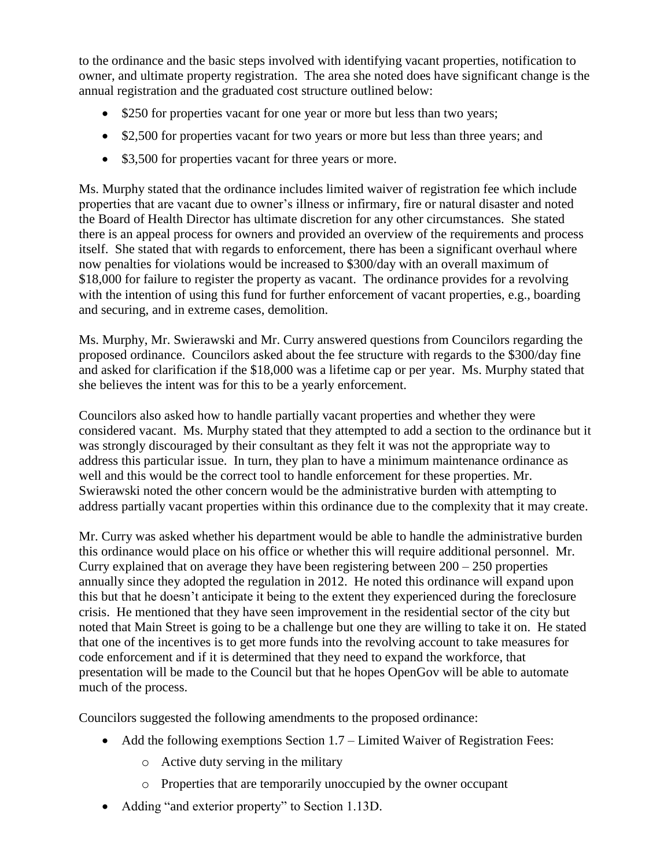to the ordinance and the basic steps involved with identifying vacant properties, notification to owner, and ultimate property registration. The area she noted does have significant change is the annual registration and the graduated cost structure outlined below:

- \$250 for properties vacant for one year or more but less than two years;
- \$2,500 for properties vacant for two years or more but less than three years; and
- \$3,500 for properties vacant for three years or more.

Ms. Murphy stated that the ordinance includes limited waiver of registration fee which include properties that are vacant due to owner's illness or infirmary, fire or natural disaster and noted the Board of Health Director has ultimate discretion for any other circumstances. She stated there is an appeal process for owners and provided an overview of the requirements and process itself. She stated that with regards to enforcement, there has been a significant overhaul where now penalties for violations would be increased to \$300/day with an overall maximum of \$18,000 for failure to register the property as vacant. The ordinance provides for a revolving with the intention of using this fund for further enforcement of vacant properties, e.g., boarding and securing, and in extreme cases, demolition.

Ms. Murphy, Mr. Swierawski and Mr. Curry answered questions from Councilors regarding the proposed ordinance. Councilors asked about the fee structure with regards to the \$300/day fine and asked for clarification if the \$18,000 was a lifetime cap or per year. Ms. Murphy stated that she believes the intent was for this to be a yearly enforcement.

Councilors also asked how to handle partially vacant properties and whether they were considered vacant. Ms. Murphy stated that they attempted to add a section to the ordinance but it was strongly discouraged by their consultant as they felt it was not the appropriate way to address this particular issue. In turn, they plan to have a minimum maintenance ordinance as well and this would be the correct tool to handle enforcement for these properties. Mr. Swierawski noted the other concern would be the administrative burden with attempting to address partially vacant properties within this ordinance due to the complexity that it may create.

Mr. Curry was asked whether his department would be able to handle the administrative burden this ordinance would place on his office or whether this will require additional personnel. Mr. Curry explained that on average they have been registering between  $200 - 250$  properties annually since they adopted the regulation in 2012. He noted this ordinance will expand upon this but that he doesn't anticipate it being to the extent they experienced during the foreclosure crisis. He mentioned that they have seen improvement in the residential sector of the city but noted that Main Street is going to be a challenge but one they are willing to take it on. He stated that one of the incentives is to get more funds into the revolving account to take measures for code enforcement and if it is determined that they need to expand the workforce, that presentation will be made to the Council but that he hopes OpenGov will be able to automate much of the process.

Councilors suggested the following amendments to the proposed ordinance:

- Add the following exemptions Section 1.7 Limited Waiver of Registration Fees:
	- o Active duty serving in the military
	- o Properties that are temporarily unoccupied by the owner occupant
- Adding "and exterior property" to Section 1.13D.